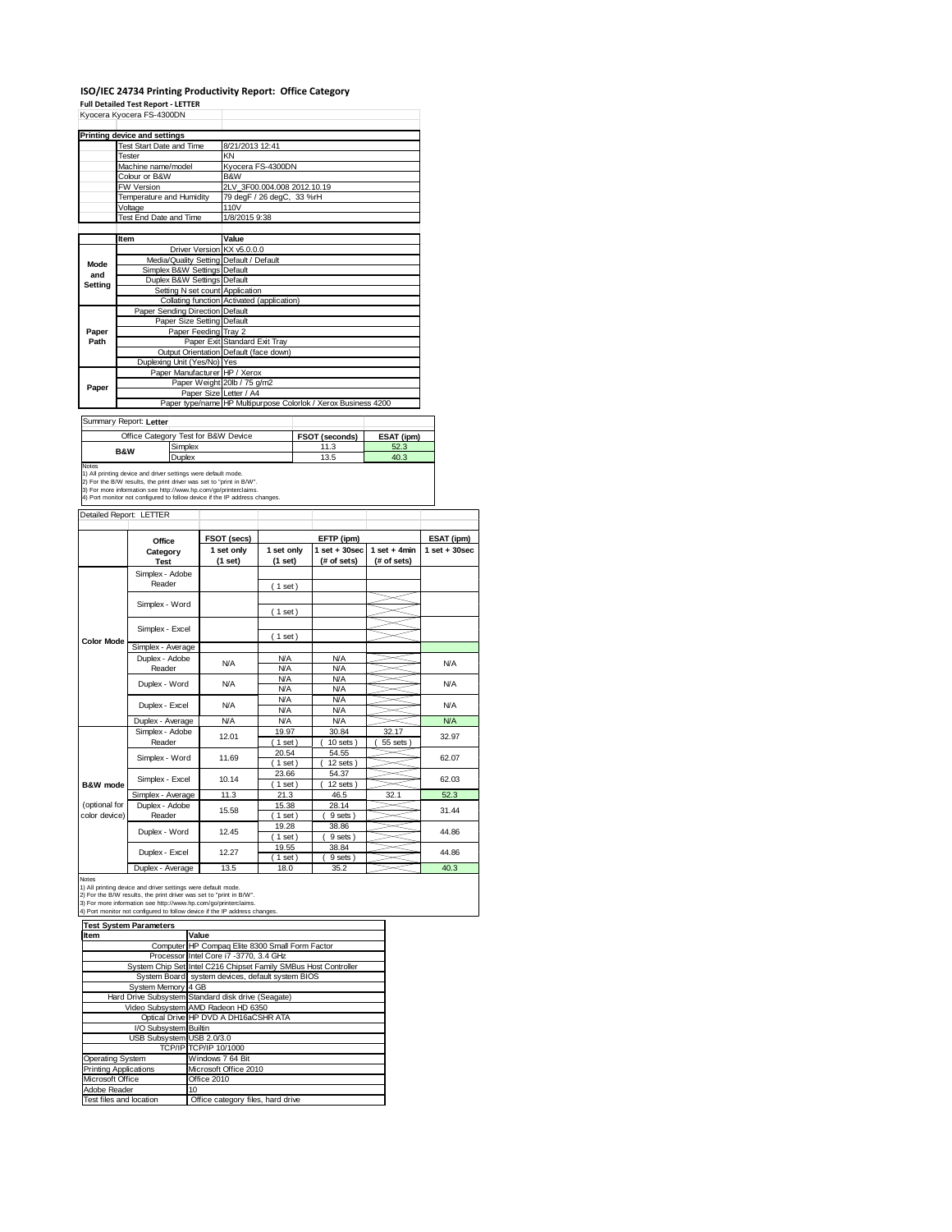## **ISO/IEC 24734 Printing Productivity Report: Office Category**

|                                      | <b>Printing device and settings</b>                                                                                                                                                                                                                                                   |                                             |  |                                                    |                          |  |                                                                |                 |                   |
|--------------------------------------|---------------------------------------------------------------------------------------------------------------------------------------------------------------------------------------------------------------------------------------------------------------------------------------|---------------------------------------------|--|----------------------------------------------------|--------------------------|--|----------------------------------------------------------------|-----------------|-------------------|
|                                      |                                                                                                                                                                                                                                                                                       |                                             |  | 8/21/2013 12:41                                    |                          |  |                                                                |                 |                   |
|                                      | <b>Test Start Date and Time</b><br>Tester                                                                                                                                                                                                                                             |                                             |  | KN                                                 |                          |  |                                                                |                 |                   |
|                                      |                                                                                                                                                                                                                                                                                       |                                             |  |                                                    |                          |  |                                                                |                 |                   |
|                                      | Machine name/model<br>Colour or B&W                                                                                                                                                                                                                                                   |                                             |  | Kyocera FS-4300DN<br>B&W                           |                          |  |                                                                |                 |                   |
|                                      |                                                                                                                                                                                                                                                                                       |                                             |  | 2LV 3F00.004.008 2012.10.19                        |                          |  |                                                                |                 |                   |
|                                      | <b>FW Version</b><br>Temperature and Humidity                                                                                                                                                                                                                                         |                                             |  | 79 degF / 26 degC, 33 %rH                          |                          |  |                                                                |                 |                   |
|                                      | Voltage                                                                                                                                                                                                                                                                               |                                             |  | 110V                                               |                          |  |                                                                |                 |                   |
|                                      | Test End Date and Time                                                                                                                                                                                                                                                                |                                             |  | 1/8/2015 9:38                                      |                          |  |                                                                |                 |                   |
|                                      |                                                                                                                                                                                                                                                                                       |                                             |  |                                                    |                          |  |                                                                |                 |                   |
|                                      | Item                                                                                                                                                                                                                                                                                  |                                             |  |                                                    |                          |  |                                                                |                 |                   |
|                                      |                                                                                                                                                                                                                                                                                       |                                             |  | Value                                              |                          |  |                                                                |                 |                   |
|                                      |                                                                                                                                                                                                                                                                                       |                                             |  | Driver Version KX v5.0.0.0                         |                          |  |                                                                |                 |                   |
| Mode                                 |                                                                                                                                                                                                                                                                                       |                                             |  | Media/Quality Setting Default / Default<br>Default |                          |  |                                                                |                 |                   |
| and                                  |                                                                                                                                                                                                                                                                                       | Simplex B&W Settings<br>Duplex B&W Settings |  | Default                                            |                          |  |                                                                |                 |                   |
| <b>Setting</b>                       |                                                                                                                                                                                                                                                                                       | Setting N set count                         |  | Application                                        |                          |  |                                                                |                 |                   |
|                                      |                                                                                                                                                                                                                                                                                       |                                             |  | Collating function Activated (application)         |                          |  |                                                                |                 |                   |
|                                      | Paper Sending Direction Default                                                                                                                                                                                                                                                       |                                             |  |                                                    |                          |  |                                                                |                 |                   |
|                                      |                                                                                                                                                                                                                                                                                       | Paper Size Setting Default                  |  |                                                    |                          |  |                                                                |                 |                   |
| Paper                                |                                                                                                                                                                                                                                                                                       | Paper Feeding Tray 2                        |  |                                                    |                          |  |                                                                |                 |                   |
| Path                                 |                                                                                                                                                                                                                                                                                       |                                             |  | Paper Exit Standard Exit Tray                      |                          |  |                                                                |                 |                   |
|                                      |                                                                                                                                                                                                                                                                                       |                                             |  | Output Orientation Default (face down)             |                          |  |                                                                |                 |                   |
|                                      | Duplexing Unit (Yes/No) Yes                                                                                                                                                                                                                                                           |                                             |  |                                                    |                          |  |                                                                |                 |                   |
|                                      |                                                                                                                                                                                                                                                                                       |                                             |  | Paper Manufacturer HP / Xerox                      |                          |  |                                                                |                 |                   |
|                                      |                                                                                                                                                                                                                                                                                       |                                             |  | Paper Weight 20lb / 75 g/m2                        |                          |  |                                                                |                 |                   |
| Paper                                |                                                                                                                                                                                                                                                                                       |                                             |  | Paper Size Letter / A4                             |                          |  |                                                                |                 |                   |
|                                      |                                                                                                                                                                                                                                                                                       |                                             |  |                                                    |                          |  | Paper type/name HP Multipurpose Colorlok / Xerox Business 4200 |                 |                   |
|                                      |                                                                                                                                                                                                                                                                                       |                                             |  |                                                    |                          |  |                                                                |                 |                   |
|                                      | Summary Report: Letter                                                                                                                                                                                                                                                                |                                             |  |                                                    |                          |  |                                                                |                 |                   |
|                                      | Office Category Test for B&W Device                                                                                                                                                                                                                                                   |                                             |  |                                                    |                          |  | FSOT (seconds)                                                 | ESAT (ipm)      |                   |
|                                      |                                                                                                                                                                                                                                                                                       |                                             |  |                                                    |                          |  | 11.3                                                           | 52.3            |                   |
|                                      |                                                                                                                                                                                                                                                                                       | Simplex                                     |  |                                                    |                          |  |                                                                |                 |                   |
|                                      | <b>B&amp;W</b>                                                                                                                                                                                                                                                                        |                                             |  |                                                    | 40.3<br>13.5             |  |                                                                |                 |                   |
|                                      | 1) All printing device and driver settings were default mode.<br>2) For the B/W results, the print driver was set to "print in B/W".<br>3) For more information see http://www.hp.com/go/printerclaims.<br>4) Port monitor not configured to follow device if the IP address changes. | Duplex                                      |  |                                                    |                          |  |                                                                |                 |                   |
| Notes                                | Detailed Report: LETTER                                                                                                                                                                                                                                                               |                                             |  |                                                    |                          |  |                                                                |                 |                   |
|                                      |                                                                                                                                                                                                                                                                                       |                                             |  | FSOT (secs)                                        |                          |  | EFTP (ipm)                                                     |                 | ESAT (ipm)        |
|                                      | Office                                                                                                                                                                                                                                                                                |                                             |  | 1 set only                                         | 1 set only               |  | $1$ set $+30$ sec                                              | $1 set + 4 min$ | $1$ set $+30$ sec |
|                                      | Category<br><b>Test</b>                                                                                                                                                                                                                                                               |                                             |  |                                                    |                          |  |                                                                |                 |                   |
|                                      |                                                                                                                                                                                                                                                                                       |                                             |  | (1 set)                                            | (1 set)                  |  | (# of sets)                                                    | (# of sets)     |                   |
|                                      | Simplex - Adobe                                                                                                                                                                                                                                                                       |                                             |  |                                                    |                          |  |                                                                |                 |                   |
|                                      | Reader                                                                                                                                                                                                                                                                                |                                             |  |                                                    | (1 set)                  |  |                                                                |                 |                   |
|                                      |                                                                                                                                                                                                                                                                                       |                                             |  |                                                    |                          |  |                                                                |                 |                   |
|                                      | Simplex - Word                                                                                                                                                                                                                                                                        |                                             |  |                                                    | (1 set)                  |  |                                                                |                 |                   |
|                                      |                                                                                                                                                                                                                                                                                       |                                             |  |                                                    |                          |  |                                                                |                 |                   |
|                                      | Simplex - Excel                                                                                                                                                                                                                                                                       |                                             |  |                                                    |                          |  |                                                                |                 |                   |
| <b>Color Mode</b>                    |                                                                                                                                                                                                                                                                                       |                                             |  |                                                    | (1 set)                  |  |                                                                |                 |                   |
|                                      | Simplex - Average                                                                                                                                                                                                                                                                     |                                             |  |                                                    | <b>N/A</b>               |  | N/A                                                            |                 |                   |
|                                      | Duplex - Adobe                                                                                                                                                                                                                                                                        |                                             |  | N/A                                                | <b>N/A</b>               |  | <b>N/A</b>                                                     |                 | <b>N/A</b>        |
|                                      | Reader                                                                                                                                                                                                                                                                                |                                             |  |                                                    | <b>N/A</b>               |  | <b>N/A</b>                                                     |                 |                   |
|                                      | Duplex - Word                                                                                                                                                                                                                                                                         |                                             |  | <b>N/A</b>                                         | <b>N/A</b>               |  | <b>N/A</b>                                                     |                 | <b>N/A</b>        |
|                                      |                                                                                                                                                                                                                                                                                       |                                             |  |                                                    | <b>N/A</b>               |  | <b>N/A</b>                                                     |                 |                   |
|                                      | Duplex - Excel                                                                                                                                                                                                                                                                        |                                             |  | N/A                                                |                          |  |                                                                |                 | <b>N/A</b>        |
|                                      |                                                                                                                                                                                                                                                                                       |                                             |  | <b>N/A</b>                                         | <b>N/A</b><br><b>N/A</b> |  | <b>N/A</b><br><b>N/A</b>                                       |                 | <b>N/A</b>        |
|                                      | Duplex - Average                                                                                                                                                                                                                                                                      |                                             |  |                                                    |                          |  |                                                                |                 |                   |
|                                      | Simplex - Adobe                                                                                                                                                                                                                                                                       |                                             |  | 12.01                                              | 19.97                    |  | 30.84                                                          | 32.17           | 32.97             |
|                                      | Reader                                                                                                                                                                                                                                                                                |                                             |  |                                                    | $1$ set)                 |  | $10$ sets $)$                                                  | 55 sets         |                   |
|                                      | Simplex - Word                                                                                                                                                                                                                                                                        |                                             |  | 11.69                                              | 20.54                    |  | 54.55                                                          |                 | 62.07             |
|                                      |                                                                                                                                                                                                                                                                                       |                                             |  |                                                    | (1 set)                  |  | 12 sets)                                                       |                 |                   |
|                                      | Simplex - Excel                                                                                                                                                                                                                                                                       |                                             |  | 10.14                                              | 23.66<br>(1 set)         |  | 54.37<br>$12$ sets)                                            |                 | 62.03             |
|                                      |                                                                                                                                                                                                                                                                                       |                                             |  |                                                    |                          |  |                                                                |                 |                   |
| <b>B&amp;W</b> mode<br>(optional for | Simplex - Average                                                                                                                                                                                                                                                                     |                                             |  | 11.3                                               | 21.3                     |  | 46.5                                                           | 32.1            | 52.3              |
| color device)                        | Duplex - Adobe                                                                                                                                                                                                                                                                        |                                             |  | 15.58                                              | 15.38                    |  | 28.14                                                          |                 | 31.44             |
|                                      | Reader                                                                                                                                                                                                                                                                                |                                             |  |                                                    | $(1$ set)                |  | 9 sets)                                                        |                 |                   |
|                                      | Duplex - Word                                                                                                                                                                                                                                                                         |                                             |  | 12.45                                              | 19.28<br>1 set           |  | 38.86                                                          |                 | 44.86             |
|                                      |                                                                                                                                                                                                                                                                                       |                                             |  |                                                    |                          |  | 9 sets)                                                        |                 |                   |
|                                      | Duplex - Excel                                                                                                                                                                                                                                                                        |                                             |  | 12.27                                              | 19.55                    |  | 38.84                                                          |                 | 44.86             |
|                                      | Duplex - Average                                                                                                                                                                                                                                                                      |                                             |  | 13.5                                               | $1$ set<br>18.0          |  | 9 sets)<br>35.2                                                |                 | 40.3              |

3) For more information see http://www.hp.com/go/printerclaims. 4) Port monitor not configured to follow device if the IP address changes.

| <b>Test System Parameters</b> |                                                                 |  |  |  |
|-------------------------------|-----------------------------------------------------------------|--|--|--|
| Item                          | Value                                                           |  |  |  |
|                               | Computer HP Compaq Elite 8300 Small Form Factor                 |  |  |  |
|                               | Processor Intel Core i7 -3770, 3.4 GHz                          |  |  |  |
|                               | System Chip Set Intel C216 Chipset Family SMBus Host Controller |  |  |  |
|                               | System Board system devices, default system BIOS                |  |  |  |
| System Memory 4 GB            |                                                                 |  |  |  |
|                               | Hard Drive Subsystem Standard disk drive (Seagate)              |  |  |  |
|                               | Video Subsystem AMD Radeon HD 6350                              |  |  |  |
|                               | Optical Drive HP DVD A DH16aCSHR ATA                            |  |  |  |
| I/O Subsystem Builtin         |                                                                 |  |  |  |
| USB Subsystem USB 2.0/3.0     |                                                                 |  |  |  |
|                               | TCP/IP TCP/IP 10/1000                                           |  |  |  |
| Operating System              | Windows 7 64 Bit                                                |  |  |  |
| <b>Printing Applications</b>  | Microsoft Office 2010                                           |  |  |  |
| Microsoft Office              | Office 2010                                                     |  |  |  |
| Adobe Reader                  | 10                                                              |  |  |  |
| Test files and location       | Office category files, hard drive                               |  |  |  |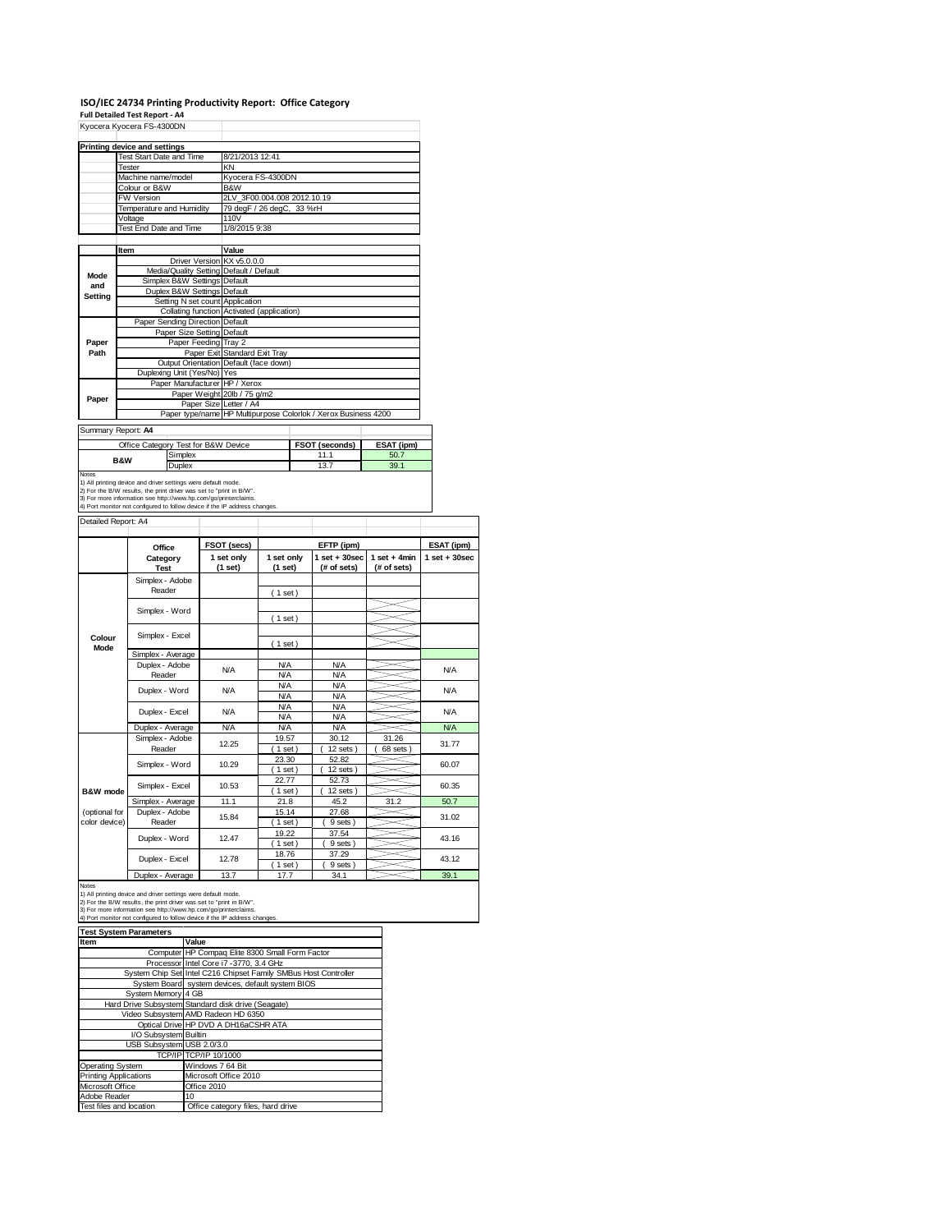### **ISO/IEC 24734 Printing Productivity Report: Office Category**

**Full Detailed Test Report ‐ A4**

|                                                                                       | <b>Printing device and settings</b>                                                                                                                                                                                                                                                   |                                            |            |                               |                     |                                                                |                 |                   |  |
|---------------------------------------------------------------------------------------|---------------------------------------------------------------------------------------------------------------------------------------------------------------------------------------------------------------------------------------------------------------------------------------|--------------------------------------------|------------|-------------------------------|---------------------|----------------------------------------------------------------|-----------------|-------------------|--|
|                                                                                       | Test Start Date and Time                                                                                                                                                                                                                                                              |                                            |            | 8/21/2013 12:41               |                     |                                                                |                 |                   |  |
|                                                                                       | Tester<br>Machine name/model                                                                                                                                                                                                                                                          |                                            |            | KN<br>Kyocera FS-4300DN       |                     |                                                                |                 |                   |  |
|                                                                                       | Colour or B&W                                                                                                                                                                                                                                                                         |                                            |            | B&W                           |                     |                                                                |                 |                   |  |
|                                                                                       | FW Version                                                                                                                                                                                                                                                                            |                                            |            | 2LV_3F00.004.008 2012.10.19   |                     |                                                                |                 |                   |  |
|                                                                                       | <b>Temperature and Humidity</b>                                                                                                                                                                                                                                                       |                                            |            | 79 degF / 26 degC, 33 %rH     |                     |                                                                |                 |                   |  |
|                                                                                       | Voltage<br>Test End Date and Time                                                                                                                                                                                                                                                     |                                            |            | 110V<br>1/8/2015 9:38         |                     |                                                                |                 |                   |  |
|                                                                                       |                                                                                                                                                                                                                                                                                       |                                            |            |                               |                     |                                                                |                 |                   |  |
|                                                                                       | Item                                                                                                                                                                                                                                                                                  |                                            |            | Value                         |                     |                                                                |                 |                   |  |
|                                                                                       | <b>Driver Version</b>                                                                                                                                                                                                                                                                 |                                            |            | KX v5.0.0.0                   |                     |                                                                |                 |                   |  |
| Mode                                                                                  | Media/Quality Setting Default / Default                                                                                                                                                                                                                                               |                                            |            |                               |                     |                                                                |                 |                   |  |
| and                                                                                   |                                                                                                                                                                                                                                                                                       | Simplex B&W Settings                       |            | Default                       |                     |                                                                |                 |                   |  |
| <b>Setting</b>                                                                        |                                                                                                                                                                                                                                                                                       | Duplex B&W Settings<br>Setting N set count |            | Default<br>Application        |                     |                                                                |                 |                   |  |
|                                                                                       |                                                                                                                                                                                                                                                                                       | Collating function                         |            | Activated (application)       |                     |                                                                |                 |                   |  |
|                                                                                       |                                                                                                                                                                                                                                                                                       | Paper Sending Direction Default            |            |                               |                     |                                                                |                 |                   |  |
|                                                                                       |                                                                                                                                                                                                                                                                                       | Paper Size Setting                         |            | Default                       |                     |                                                                |                 |                   |  |
| Paper<br>Path                                                                         |                                                                                                                                                                                                                                                                                       | Paper Feeding                              |            | Tray 2<br>Standard Exit Tray  |                     |                                                                |                 |                   |  |
|                                                                                       |                                                                                                                                                                                                                                                                                       | <b>Output Orientation</b>                  | Paper Exit | Default (face down)           |                     |                                                                |                 |                   |  |
|                                                                                       |                                                                                                                                                                                                                                                                                       | Duplexing Unit (Yes/No) Yes                |            |                               |                     |                                                                |                 |                   |  |
|                                                                                       |                                                                                                                                                                                                                                                                                       |                                            |            | Paper Manufacturer HP / Xerox |                     |                                                                |                 |                   |  |
| Paper                                                                                 |                                                                                                                                                                                                                                                                                       |                                            |            | Paper Weight 20lb / 75 g/m2   |                     |                                                                |                 |                   |  |
|                                                                                       |                                                                                                                                                                                                                                                                                       |                                            |            | Paper Size Letter / A4        |                     | Paper type/name HP Multipurpose Colorlok / Xerox Business 4200 |                 |                   |  |
|                                                                                       |                                                                                                                                                                                                                                                                                       |                                            |            |                               |                     |                                                                |                 |                   |  |
|                                                                                       | Summary Report: A4                                                                                                                                                                                                                                                                    |                                            |            |                               |                     |                                                                |                 |                   |  |
|                                                                                       | Office Category Test for B&W Device                                                                                                                                                                                                                                                   |                                            |            |                               |                     | FSOT (seconds)                                                 | ESAT (ipm)      |                   |  |
|                                                                                       |                                                                                                                                                                                                                                                                                       | Simplex                                    |            |                               |                     | 11.1                                                           | 50.7            |                   |  |
|                                                                                       | <b>B&amp;W</b>                                                                                                                                                                                                                                                                        | 39.1<br>13.7                               |            |                               |                     |                                                                |                 |                   |  |
|                                                                                       | 1) All printing device and driver settings were default mode.<br>2) For the B/W results, the print driver was set to "print in B/W".<br>3) For more information see http://www.hp.com/go/printerclaims.<br>4) Port monitor not configured to follow device if the IP address changes. | Duplex                                     |            |                               |                     |                                                                |                 |                   |  |
|                                                                                       |                                                                                                                                                                                                                                                                                       |                                            |            |                               |                     |                                                                |                 |                   |  |
|                                                                                       |                                                                                                                                                                                                                                                                                       | Office                                     |            | FSOT (secs)                   |                     | EFTP (ipm)                                                     |                 | ESAT (ipm)        |  |
|                                                                                       |                                                                                                                                                                                                                                                                                       | Category                                   |            | 1 set only                    | 1 set only          | $1$ set $+30$ sec                                              | $1 set + 4 min$ | $1$ set $+30$ sec |  |
|                                                                                       | <b>Test</b>                                                                                                                                                                                                                                                                           |                                            |            | (1 set)                       | (1 set)             | (# of sets)                                                    | (# of sets)     |                   |  |
|                                                                                       |                                                                                                                                                                                                                                                                                       | Simplex - Adobe<br>Reader                  |            |                               |                     |                                                                |                 |                   |  |
|                                                                                       |                                                                                                                                                                                                                                                                                       |                                            |            |                               | (1 set)             |                                                                |                 |                   |  |
|                                                                                       |                                                                                                                                                                                                                                                                                       | Simplex - Word                             |            |                               |                     |                                                                |                 |                   |  |
|                                                                                       |                                                                                                                                                                                                                                                                                       |                                            |            |                               | (1 set)             |                                                                |                 |                   |  |
| Colour                                                                                |                                                                                                                                                                                                                                                                                       | Simplex - Excel                            |            |                               |                     |                                                                |                 |                   |  |
| Mode                                                                                  |                                                                                                                                                                                                                                                                                       | Simplex - Average                          |            |                               | (1 set)             |                                                                |                 |                   |  |
|                                                                                       |                                                                                                                                                                                                                                                                                       | Duplex - Adobe                             |            |                               | <b>N/A</b>          | <b>N/A</b>                                                     |                 |                   |  |
|                                                                                       |                                                                                                                                                                                                                                                                                       | Reader                                     |            | N/A                           | <b>N/A</b>          | N/A                                                            |                 | <b>N/A</b>        |  |
|                                                                                       |                                                                                                                                                                                                                                                                                       | Duplex - Word                              |            | N/A                           | <b>N/A</b>          | <b>N/A</b>                                                     |                 | <b>N/A</b>        |  |
|                                                                                       |                                                                                                                                                                                                                                                                                       |                                            |            |                               | <b>N/A</b>          | <b>N/A</b>                                                     |                 |                   |  |
|                                                                                       |                                                                                                                                                                                                                                                                                       | Duplex - Excel                             |            | N/A                           | <b>N/A</b>          | <b>N/A</b>                                                     |                 | <b>N/A</b>        |  |
|                                                                                       |                                                                                                                                                                                                                                                                                       |                                            |            |                               | <b>N/A</b>          | <b>N/A</b>                                                     |                 |                   |  |
|                                                                                       |                                                                                                                                                                                                                                                                                       | Duplex - Average<br>Simplex - Adobe        |            | N/A                           | <b>N/A</b><br>19.57 | <b>N/A</b><br>30.12                                            | 31.26           | <b>N/A</b>        |  |
|                                                                                       |                                                                                                                                                                                                                                                                                       | Reader                                     |            | 12.25                         | $1$ set             | 12 sets                                                        | 68 sets)        | 31.77             |  |
|                                                                                       |                                                                                                                                                                                                                                                                                       |                                            |            |                               | 23.30               | 52.82                                                          |                 |                   |  |
|                                                                                       |                                                                                                                                                                                                                                                                                       | Simplex - Word                             |            | 10.29                         | 1 <sub>set</sub>    | 12 sets                                                        |                 | 60.07             |  |
|                                                                                       |                                                                                                                                                                                                                                                                                       | Simplex - Excel                            |            | 10.53                         | 22.77               | 52.73                                                          |                 | 60.35             |  |
|                                                                                       |                                                                                                                                                                                                                                                                                       |                                            |            | 11.1                          | $1$ set)<br>21.8    | 12 sets)<br>45.2                                               | 31.2            | 50.7              |  |
|                                                                                       |                                                                                                                                                                                                                                                                                       | Simplex - Average<br>Duplex - Adobe        |            |                               | 15.14               | 27.68                                                          |                 |                   |  |
|                                                                                       |                                                                                                                                                                                                                                                                                       | Reader                                     |            | 15.84                         | $1$ set)            | 9 sets                                                         |                 | 31.02             |  |
|                                                                                       |                                                                                                                                                                                                                                                                                       |                                            |            | 12.47                         | 19.22               | 37.54                                                          |                 | 43.16             |  |
|                                                                                       |                                                                                                                                                                                                                                                                                       | Duplex - Word                              |            |                               | (1 set)             | 9 sets)                                                        |                 |                   |  |
| Notes<br>Detailed Report: A4<br><b>B&amp;W</b> mode<br>(optional for<br>color device) |                                                                                                                                                                                                                                                                                       | Duplex - Excel                             |            | 12.78                         | 18.76<br>$1$ set)   | 37.29<br>9 sets)                                               |                 | 43.12             |  |

2) For the B/W results, the print driver was set to "print in B/W". 3) For more information see http://www.hp.com/go/printerclaims. 4) Port monitor not configured to follow device if the IP address changes.

| <b>Test System Parameters</b> |                                                                 |  |  |  |
|-------------------------------|-----------------------------------------------------------------|--|--|--|
| Item                          | Value                                                           |  |  |  |
|                               | Computer HP Compaq Elite 8300 Small Form Factor                 |  |  |  |
|                               | Processor Intel Core i7 -3770, 3.4 GHz                          |  |  |  |
|                               | System Chip Set Intel C216 Chipset Family SMBus Host Controller |  |  |  |
|                               | System Board system devices, default system BIOS                |  |  |  |
| System Memory 4 GB            |                                                                 |  |  |  |
|                               | Hard Drive Subsystem Standard disk drive (Seagate)              |  |  |  |
|                               | Video Subsystem AMD Radeon HD 6350                              |  |  |  |
|                               | Optical Drive HP DVD A DH16aCSHR ATA                            |  |  |  |
| I/O Subsystem Builtin         |                                                                 |  |  |  |
| USB Subsystem USB 2.0/3.0     |                                                                 |  |  |  |
|                               | TCP/IP TCP/IP 10/1000                                           |  |  |  |
| Operating System              | Windows 7 64 Bit                                                |  |  |  |
| <b>Printing Applications</b>  | Microsoft Office 2010                                           |  |  |  |
| Microsoft Office              | Office 2010                                                     |  |  |  |
| Adobe Reader                  | 10                                                              |  |  |  |
| Test files and location       | Office category files, hard drive                               |  |  |  |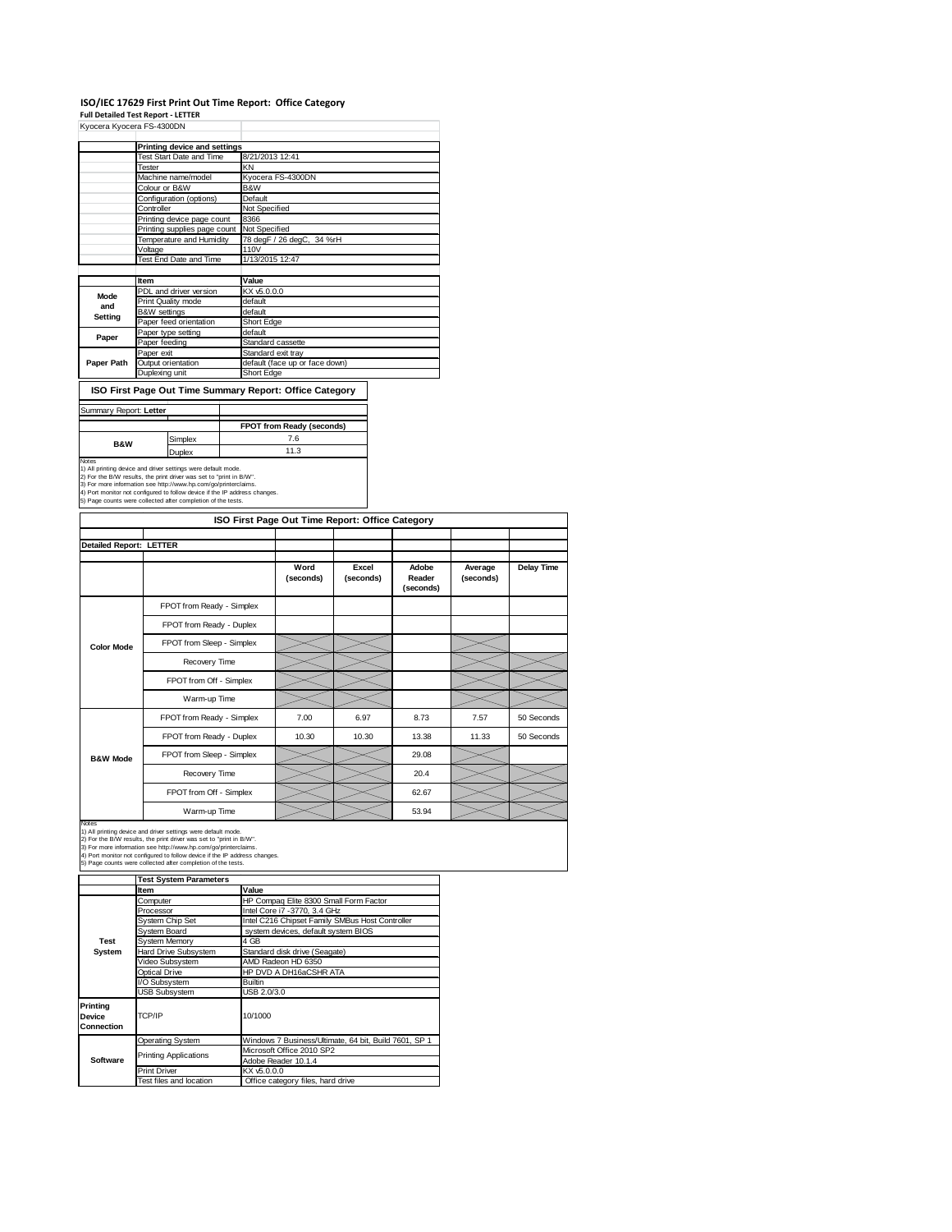#### **ISO/IEC 17629 First Print Out Time Report: Office Category**

**Full Detailed Test Report ‐ LETTER** Kyocera Kyocera FS-4300DN

|            | <b>NYULEID NYULEID FO-4000DIV</b> |                                |  |  |  |  |
|------------|-----------------------------------|--------------------------------|--|--|--|--|
|            |                                   |                                |  |  |  |  |
|            | Printing device and settings      |                                |  |  |  |  |
|            | Test Start Date and Time          | 8/21/2013 12:41                |  |  |  |  |
|            | Tester                            | KN                             |  |  |  |  |
|            | Machine name/model                | Kyocera FS-4300DN              |  |  |  |  |
|            | Colour or B&W                     | B&W                            |  |  |  |  |
|            | Configuration (options)           | Default                        |  |  |  |  |
|            | Controller                        | Not Specified                  |  |  |  |  |
|            | Printing device page count        | 8366                           |  |  |  |  |
|            | Printing supplies page count      | Not Specified                  |  |  |  |  |
|            | Temperature and Humidity          | 78 degF / 26 degC, 34 %rH      |  |  |  |  |
|            | Voltage                           | 110V                           |  |  |  |  |
|            | Test End Date and Time            | 1/13/2015 12:47                |  |  |  |  |
|            |                                   |                                |  |  |  |  |
|            | Item                              | Value                          |  |  |  |  |
| Mode       | PDL and driver version            | KX v5.0.0.0                    |  |  |  |  |
| and        | Print Quality mode                | default                        |  |  |  |  |
|            | <b>B&amp;W</b> settings           | default                        |  |  |  |  |
| Setting    | Paper feed orientation            | Short Edge                     |  |  |  |  |
| Paper      | Paper type setting                | default                        |  |  |  |  |
|            | Paper feeding                     | Standard cassette              |  |  |  |  |
|            | Paper exit                        | Standard exit tray             |  |  |  |  |
| Paper Path | Output orientation                | default (face up or face down) |  |  |  |  |
|            | Duplexing unit                    | Short Edge                     |  |  |  |  |
|            |                                   |                                |  |  |  |  |

#### **ISO First Page Out Time Summary Report: Office Category**

| Summary Report: Letter |  |
|------------------------|--|
|                        |  |

| <b>CONTRATION COPOINT LUMBER</b>                                           |               |                                  |  |  |
|----------------------------------------------------------------------------|---------------|----------------------------------|--|--|
|                                                                            |               | <b>FPOT from Ready (seconds)</b> |  |  |
| <b>B&amp;W</b>                                                             | Simplex       | 7.6                              |  |  |
|                                                                            | <b>Duplex</b> | 11.3                             |  |  |
| Notes                                                                      |               |                                  |  |  |
| 1) All printing device and driver settings were default mode.              |               |                                  |  |  |
| 2) For the B/W results, the print driver was set to "print in B/W".        |               |                                  |  |  |
| 3) For more information see http://www.hp.com/go/printerclaims.            |               |                                  |  |  |
| 4) Port monitor not configured to follow device if the IP address changes. |               |                                  |  |  |
| 5) Page counts were collected after completion of the tests.               |               |                                  |  |  |

| ISO First Page Out Time Report: Office Category |                           |                   |                    |                              |                      |                   |
|-------------------------------------------------|---------------------------|-------------------|--------------------|------------------------------|----------------------|-------------------|
| <b>Detailed Report: LETTER</b>                  |                           |                   |                    |                              |                      |                   |
|                                                 |                           | Word<br>(seconds) | Excel<br>(seconds) | Adobe<br>Reader<br>(seconds) | Average<br>(seconds) | <b>Delay Time</b> |
|                                                 | FPOT from Ready - Simplex |                   |                    |                              |                      |                   |
|                                                 | FPOT from Ready - Duplex  |                   |                    |                              |                      |                   |
| <b>Color Mode</b>                               | FPOT from Sleep - Simplex |                   |                    |                              |                      |                   |
|                                                 | Recovery Time             |                   |                    |                              |                      |                   |
|                                                 | FPOT from Off - Simplex   |                   |                    |                              |                      |                   |
|                                                 | Warm-up Time              |                   |                    |                              |                      |                   |
|                                                 | FPOT from Ready - Simplex | 7.00              | 6.97               | 8.73                         | 7.57                 | 50 Seconds        |
|                                                 | FPOT from Ready - Duplex  | 10.30             | 10.30              | 13.38                        | 11.33                | 50 Seconds        |
| <b>B&amp;W Mode</b>                             | FPOT from Sleep - Simplex |                   |                    | 29.08                        |                      |                   |
|                                                 | Recovery Time             |                   |                    | 20.4                         |                      |                   |
|                                                 | FPOT from Off - Simplex   |                   |                    | 62.67                        |                      |                   |
|                                                 | Warm-up Time              |                   |                    | 53.94                        |                      |                   |

٦

Notes<br>1) All printing device and driver settings were default mode.<br>2) For the B/W results, the print driver was set to "print in B/W".<br>3) For more information see http://www.hp.com/go/printerclaims.<br>4) Port monitor not co

**Test System Parameters**

|                                  | rest ovstem rarameters       |                                                       |  |  |  |  |
|----------------------------------|------------------------------|-------------------------------------------------------|--|--|--|--|
|                                  | Item                         | Value                                                 |  |  |  |  |
|                                  | Computer                     | HP Compag Elite 8300 Small Form Factor                |  |  |  |  |
|                                  | Processor                    | Intel Core i7 -3770, 3.4 GHz                          |  |  |  |  |
|                                  | System Chip Set              | Intel C216 Chipset Family SMBus Host Controller       |  |  |  |  |
|                                  | System Board                 | system devices, default system BIOS                   |  |  |  |  |
| Test                             | <b>System Memory</b>         | 4 GB                                                  |  |  |  |  |
| System                           | Hard Drive Subsystem         | Standard disk drive (Seagate)                         |  |  |  |  |
|                                  | Video Subsystem              | AMD Radeon HD 6350                                    |  |  |  |  |
|                                  | Optical Drive                | HP DVD A DH16aCSHR ATA                                |  |  |  |  |
|                                  | I/O Subsystem                | Builtin                                               |  |  |  |  |
|                                  | <b>USB Subsystem</b>         | USB 2.0/3.0                                           |  |  |  |  |
| Printing<br>Device<br>Connection | TCP/IP                       | 10/1000                                               |  |  |  |  |
|                                  | Operating System             | Windows 7 Business/Ultimate, 64 bit, Build 7601, SP 1 |  |  |  |  |
|                                  | <b>Printing Applications</b> | Microsoft Office 2010 SP2                             |  |  |  |  |
| Software                         |                              | Adobe Reader 10.1.4                                   |  |  |  |  |
|                                  | <b>Print Driver</b>          | KX v5.0.0.0                                           |  |  |  |  |
|                                  | Test files and location      | Office category files, hard drive                     |  |  |  |  |